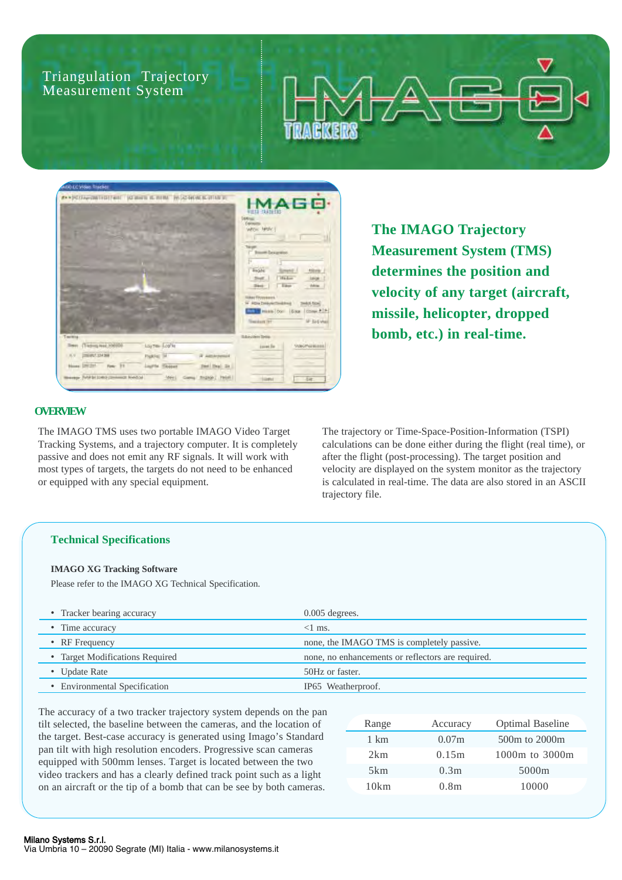Triangulation Trajectory Measurement System



**The IMAGO Trajectory Measurement System (TMS) determines the position and velocity of any target (aircraft, missile, helicopter, dropped bomb, etc.) in real-time.**

# **OVERVIEW**

The IMAGO TMS uses two portable IMAGO Video Target Tracking Systems, and a trajectory computer. It is completely passive and does not emit any RF signals. It will work with most types of targets, the targets do not need to be enhanced or equipped with any special equipment.

The trajectory or Time-Space-Position-Information (TSPI) calculations can be done either during the flight (real time), or after the flight (post-processing). The target position and velocity are displayed on the system monitor as the trajectory is calculated in real-time. The data are also stored in an ASCII trajectory file.

## **Technical Specifications**

## **IMAGO XG Tracking Software**

Please refer to the IMAGO XG Technical Specification.

| • Tracker bearing accuracy      | $0.005$ degrees.                                  |
|---------------------------------|---------------------------------------------------|
| • Time accuracy                 | $<1$ ms.                                          |
| • RF Frequency                  | none, the IMAGO TMS is completely passive.        |
| • Target Modifications Required | none, no enhancements or reflectors are required. |
| • Update Rate                   | 50Hz or faster.                                   |
| • Environmental Specification   | IP65 Weatherproof.                                |
|                                 |                                                   |

The accuracy of a two tracker trajectory system depends on the pan tilt selected, the baseline between the cameras, and the location of the target. Best-case accuracy is generated using Imago's Standard pan tilt with high resolution encoders. Progressive scan cameras equipped with 500mm lenses. Target is located between the two video trackers and has a clearly defined track point such as a light on an aircraft or the tip of a bomb that can be see by both cameras.

| Range | Accuracy          | <b>Optimal Baseline</b> |
|-------|-------------------|-------------------------|
| 1 km  | 0.07 <sub>m</sub> | 500m to 2000m           |
| 2km   | 0.15m             | 1000m to 3000m          |
| 5km   | 0.3m              | 5000m                   |
| 10km  | 0.8 <sub>m</sub>  | 10000                   |
|       |                   |                         |